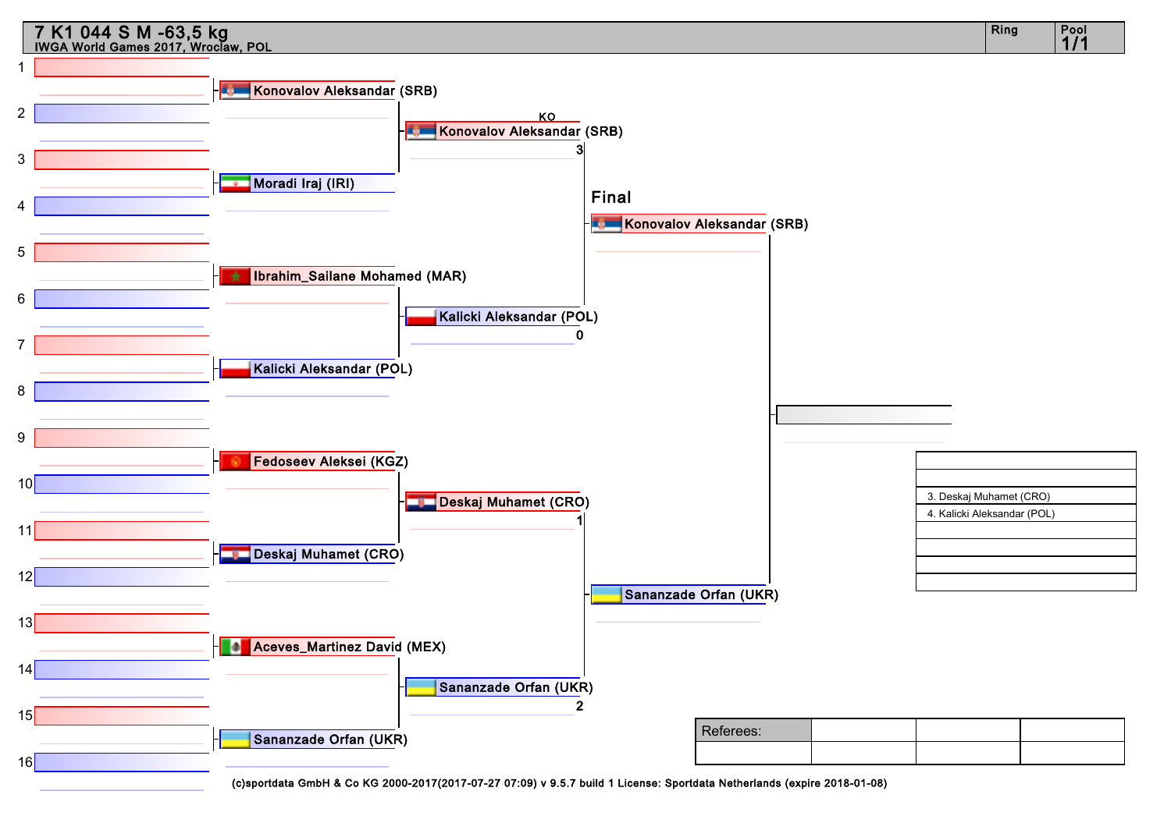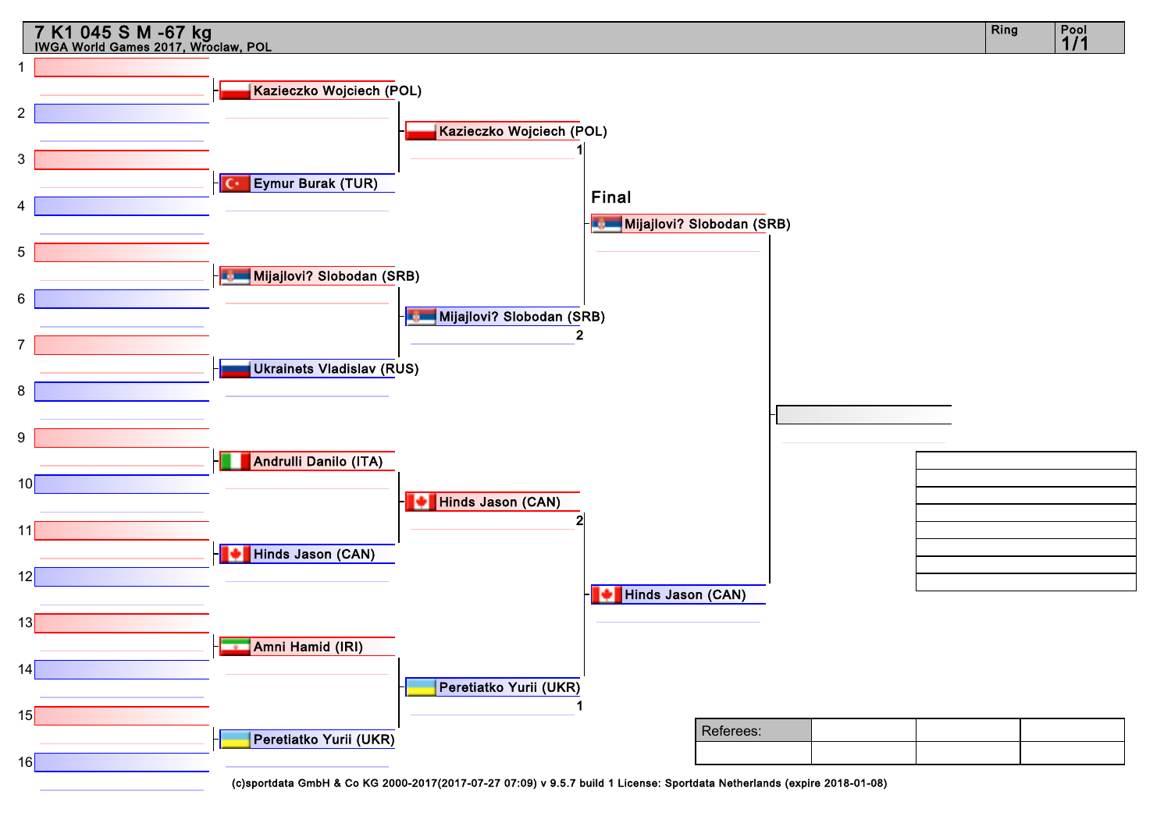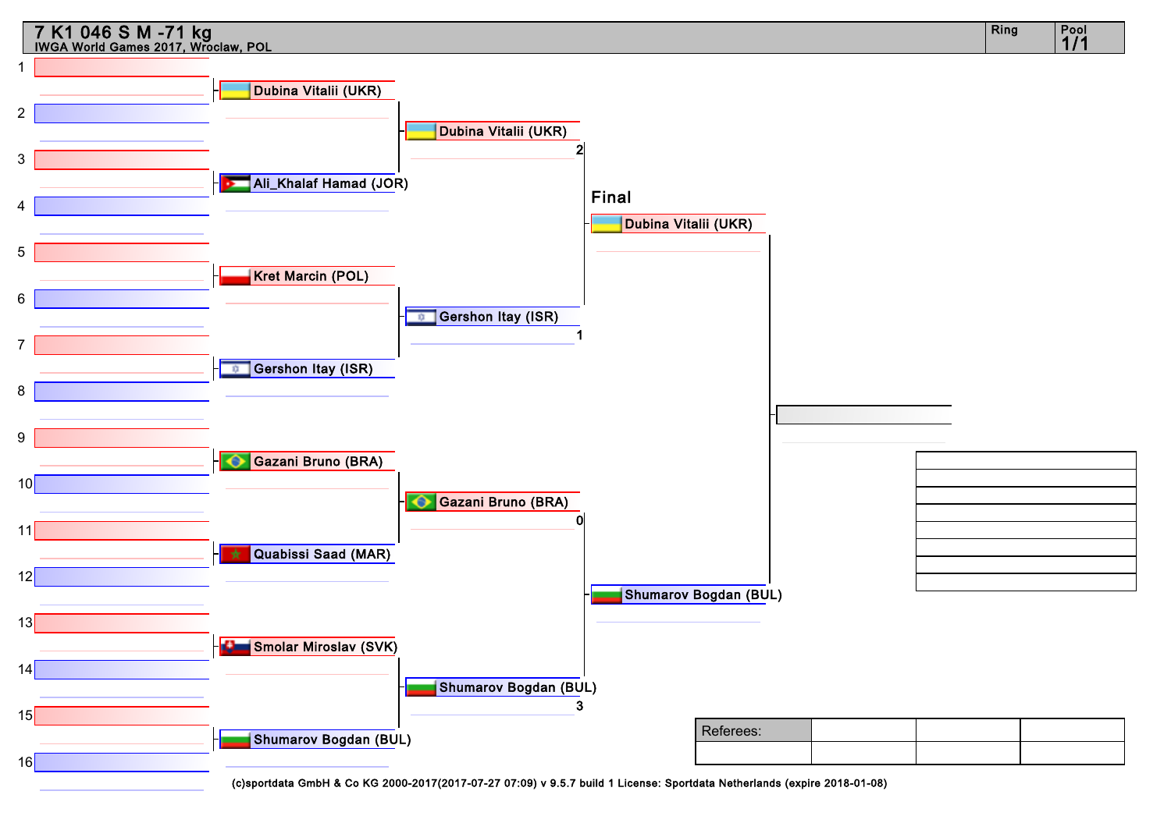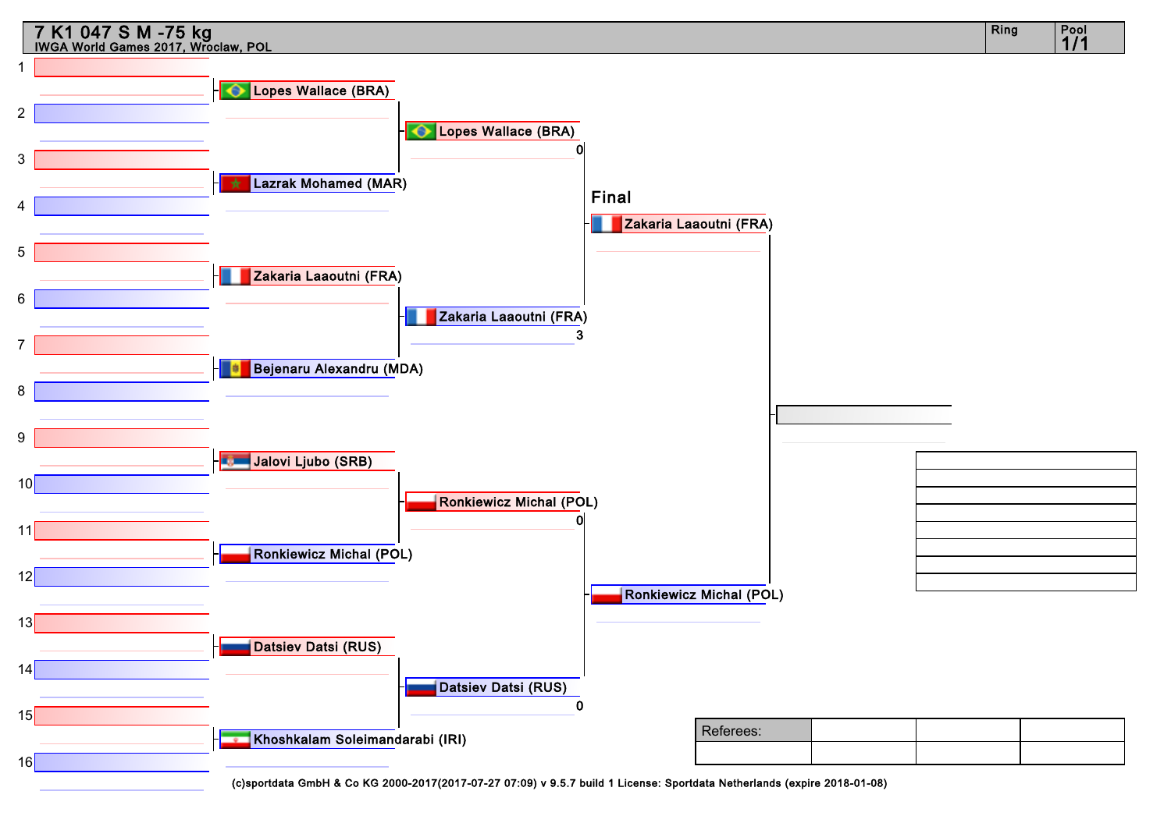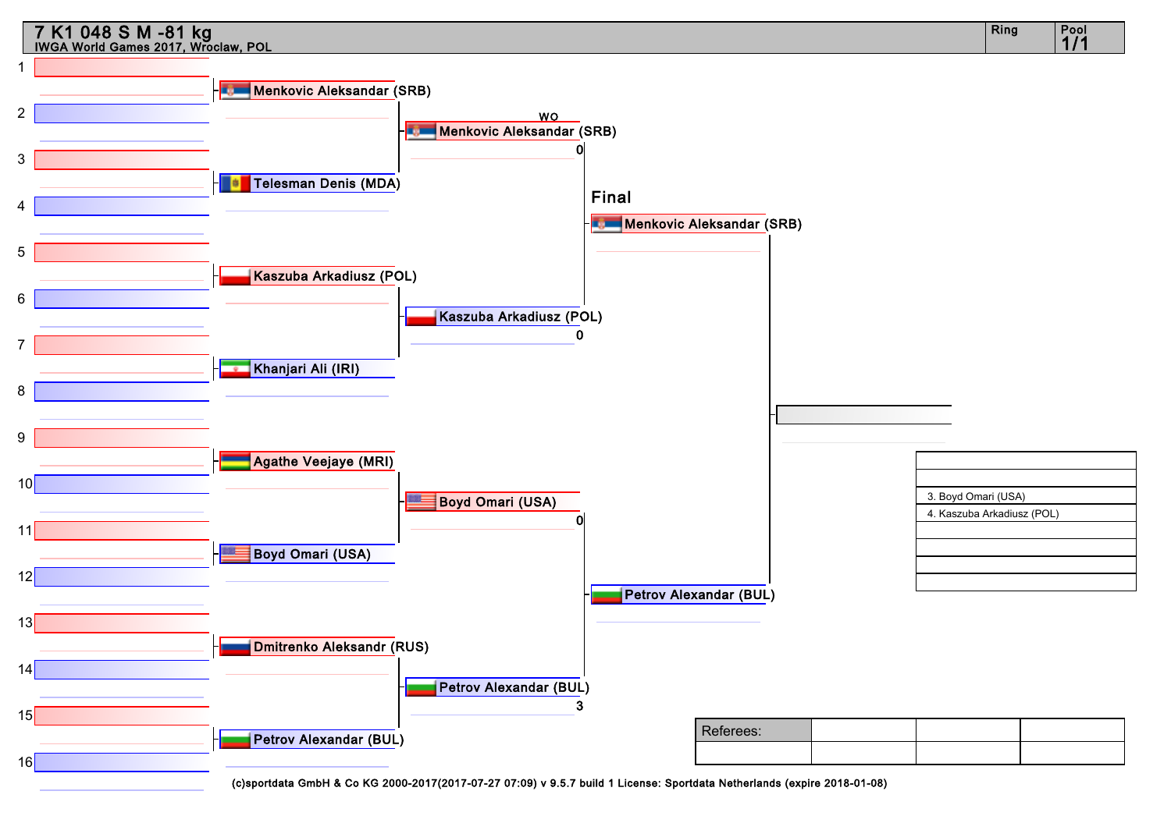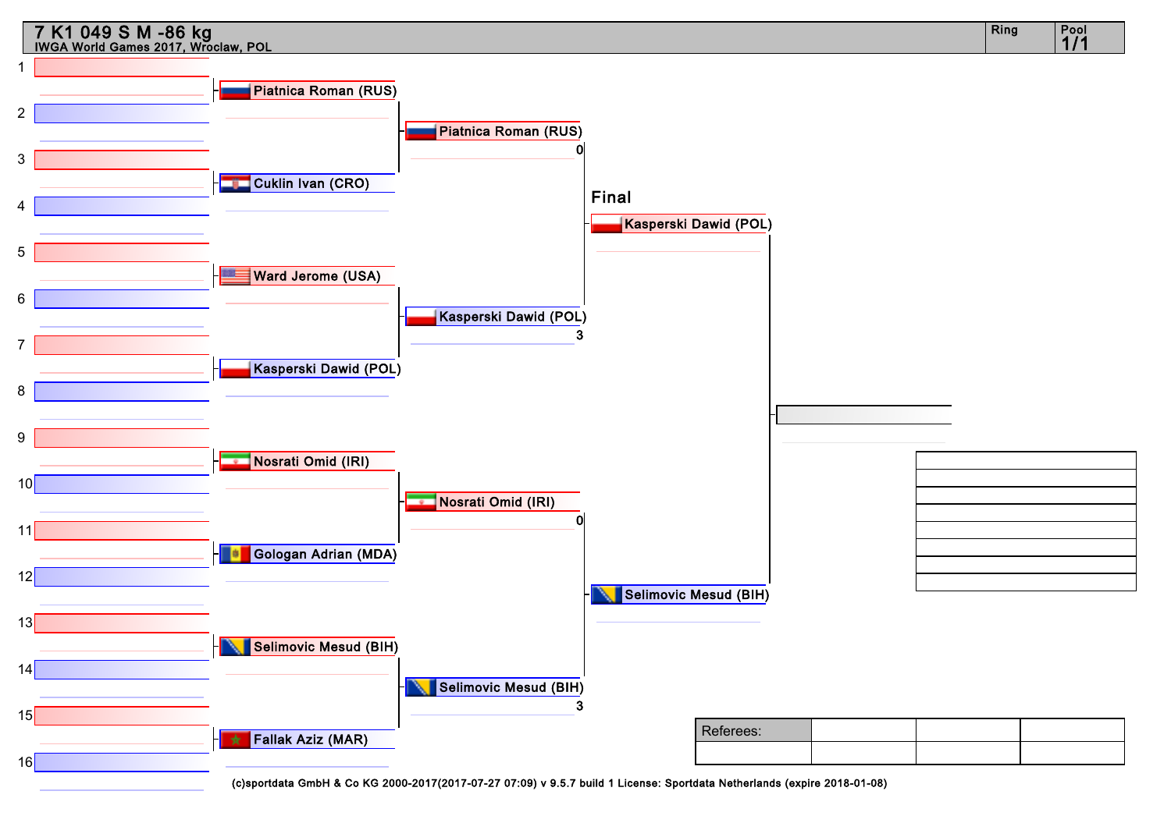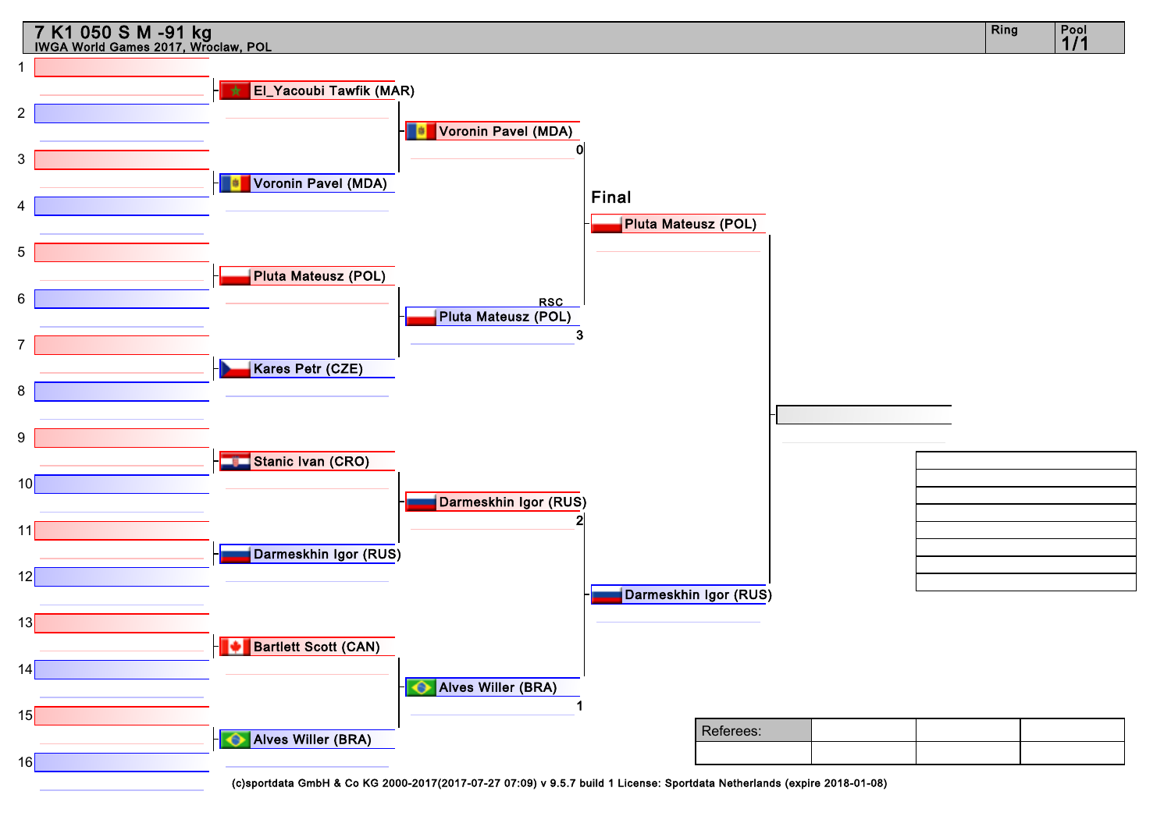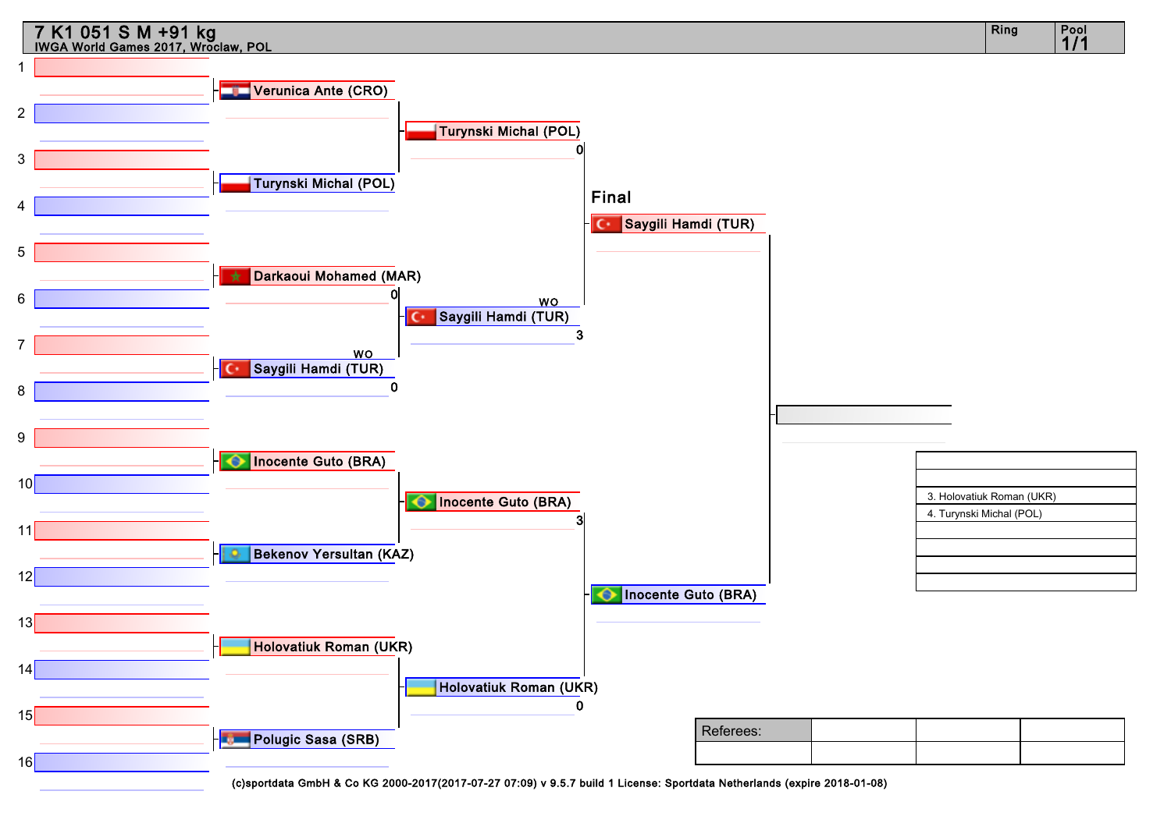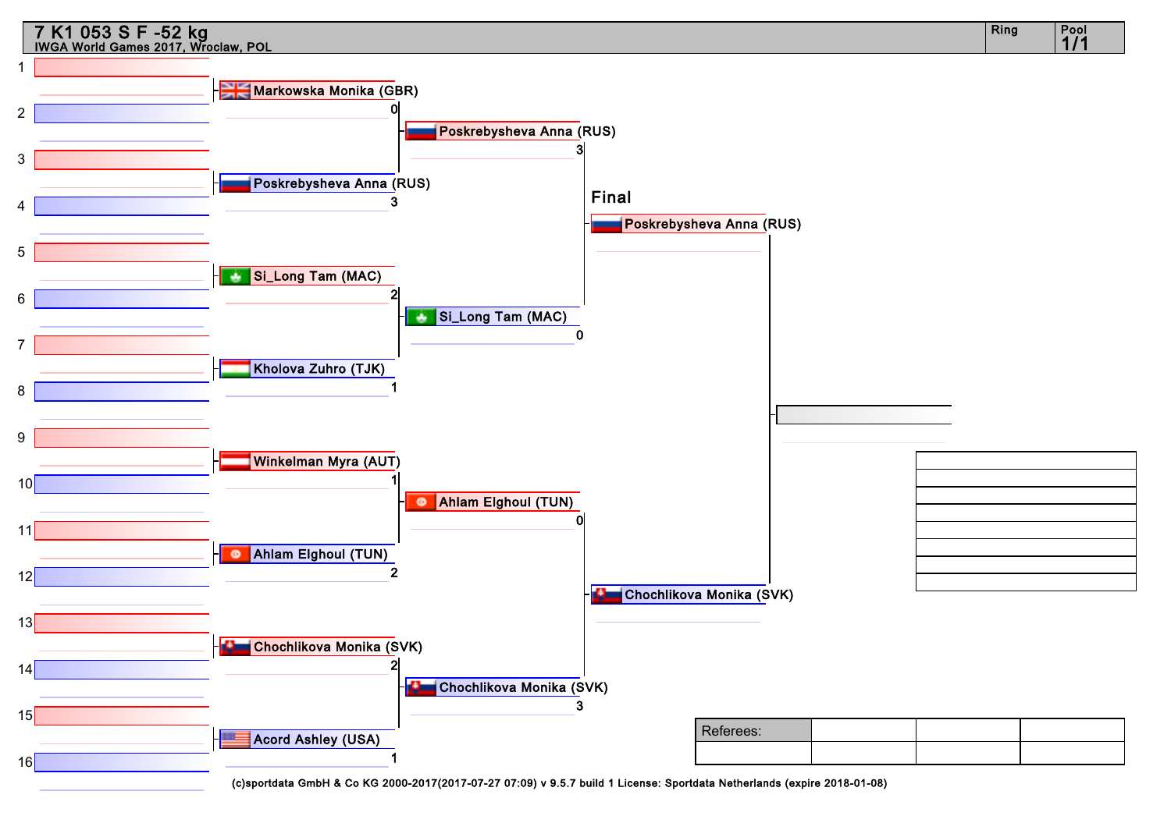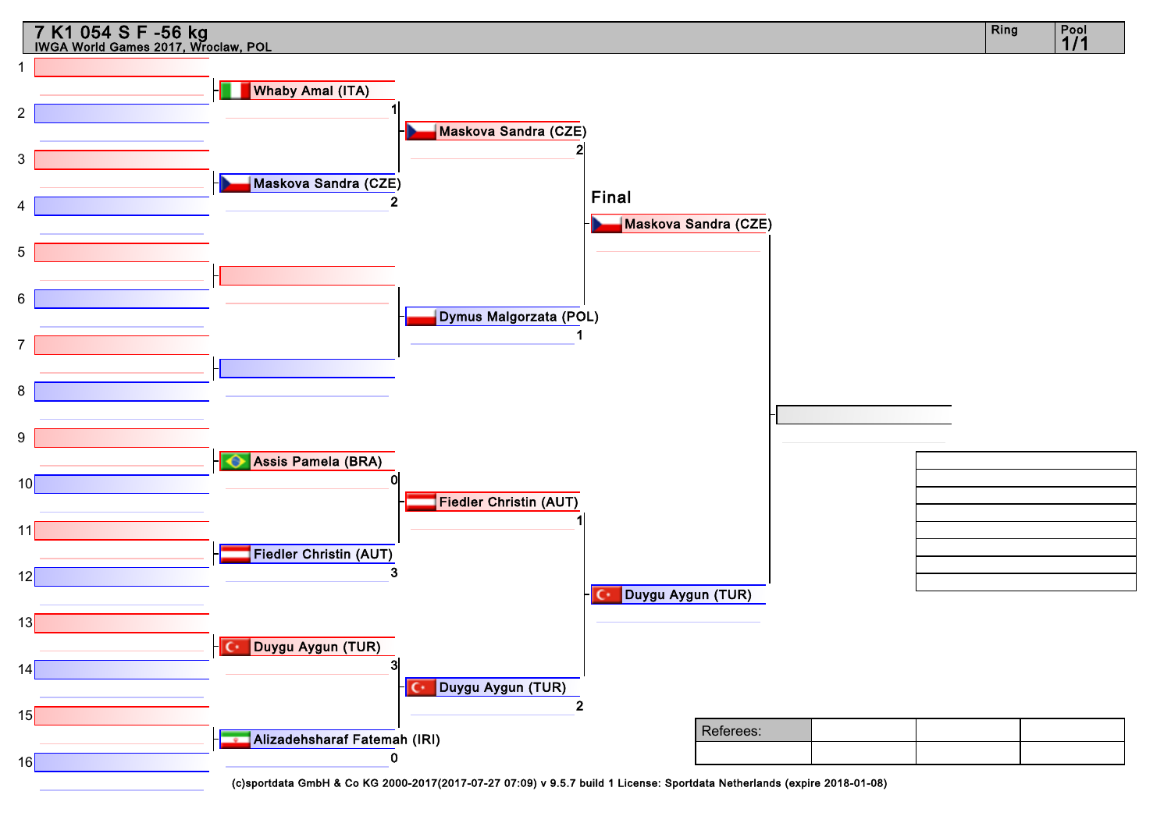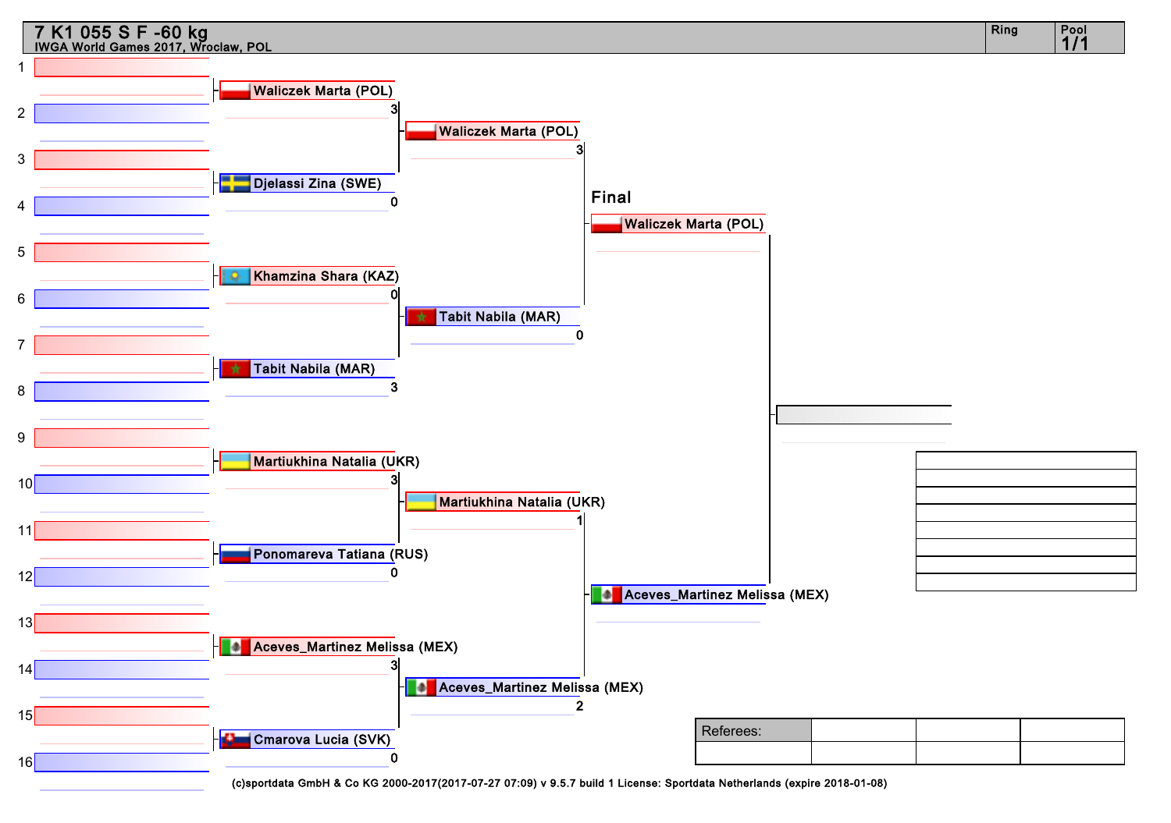